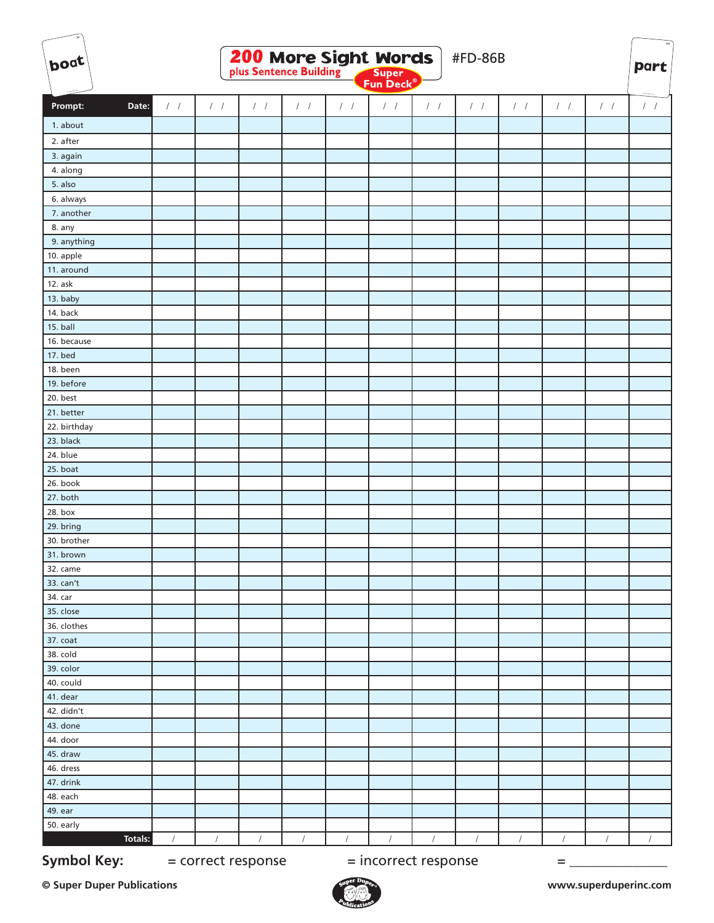| boat                   |                        |               |                    |               | <b>200 More Sight Words</b> | Super<br>Fun Deck <sup>®</sup> |               | #FD-86B       |               |               |               | $\mathbf{n}_4$<br><b>part</b> |
|------------------------|------------------------|---------------|--------------------|---------------|-----------------------------|--------------------------------|---------------|---------------|---------------|---------------|---------------|-------------------------------|
|                        |                        |               |                    |               |                             |                                |               |               |               |               |               |                               |
| Date:<br>Prompt:       | $\left  \quad \right $ | $\frac{1}{2}$ | $\frac{1}{2}$      | $\frac{1}{2}$ | $\left  \quad \right $      | $\left  \quad \right $         | $\frac{1}{2}$ | $\int$ $\int$ | $\frac{1}{2}$ | $\frac{1}{2}$ | $\frac{1}{2}$ | $\left  \right $              |
| 1. about               |                        |               |                    |               |                             |                                |               |               |               |               |               |                               |
| 2. after               |                        |               |                    |               |                             |                                |               |               |               |               |               |                               |
| 3. again               |                        |               |                    |               |                             |                                |               |               |               |               |               |                               |
| 4. along               |                        |               |                    |               |                             |                                |               |               |               |               |               |                               |
| 5. also                |                        |               |                    |               |                             |                                |               |               |               |               |               |                               |
| 6. always              |                        |               |                    |               |                             |                                |               |               |               |               |               |                               |
| 7. another             |                        |               |                    |               |                             |                                |               |               |               |               |               |                               |
| 8. any                 |                        |               |                    |               |                             |                                |               |               |               |               |               |                               |
| 9. anything            |                        |               |                    |               |                             |                                |               |               |               |               |               |                               |
| 10. apple              |                        |               |                    |               |                             |                                |               |               |               |               |               |                               |
| 11. around             |                        |               |                    |               |                             |                                |               |               |               |               |               |                               |
| 12. ask                |                        |               |                    |               |                             |                                |               |               |               |               |               |                               |
| 13. baby               |                        |               |                    |               |                             |                                |               |               |               |               |               |                               |
| 14. back               |                        |               |                    |               |                             |                                |               |               |               |               |               |                               |
| 15. ball               |                        |               |                    |               |                             |                                |               |               |               |               |               |                               |
| 16. because            |                        |               |                    |               |                             |                                |               |               |               |               |               |                               |
| 17. bed                |                        |               |                    |               |                             |                                |               |               |               |               |               |                               |
| 18. been               |                        |               |                    |               |                             |                                |               |               |               |               |               |                               |
| 19. before<br>20. best |                        |               |                    |               |                             |                                |               |               |               |               |               |                               |
| 21. better             |                        |               |                    |               |                             |                                |               |               |               |               |               |                               |
| 22. birthday           |                        |               |                    |               |                             |                                |               |               |               |               |               |                               |
| 23. black              |                        |               |                    |               |                             |                                |               |               |               |               |               |                               |
| 24. blue               |                        |               |                    |               |                             |                                |               |               |               |               |               |                               |
| 25. boat               |                        |               |                    |               |                             |                                |               |               |               |               |               |                               |
| 26. book               |                        |               |                    |               |                             |                                |               |               |               |               |               |                               |
| 27. both               |                        |               |                    |               |                             |                                |               |               |               |               |               |                               |
| 28. box                |                        |               |                    |               |                             |                                |               |               |               |               |               |                               |
| 29. bring              |                        |               |                    |               |                             |                                |               |               |               |               |               |                               |
| 30. brother            |                        |               |                    |               |                             |                                |               |               |               |               |               |                               |
| 31. brown              |                        |               |                    |               |                             |                                |               |               |               |               |               |                               |
| 32. came               |                        |               |                    |               |                             |                                |               |               |               |               |               |                               |
| 33. can't              |                        |               |                    |               |                             |                                |               |               |               |               |               |                               |
| 34. car                |                        |               |                    |               |                             |                                |               |               |               |               |               |                               |
| 35. close              |                        |               |                    |               |                             |                                |               |               |               |               |               |                               |
| 36. clothes            |                        |               |                    |               |                             |                                |               |               |               |               |               |                               |
| 37. coat               |                        |               |                    |               |                             |                                |               |               |               |               |               |                               |
| 38. cold               |                        |               |                    |               |                             |                                |               |               |               |               |               |                               |
| 39. color              |                        |               |                    |               |                             |                                |               |               |               |               |               |                               |
| 40. could              |                        |               |                    |               |                             |                                |               |               |               |               |               |                               |
| 41. dear               |                        |               |                    |               |                             |                                |               |               |               |               |               |                               |
| 42. didn't             |                        |               |                    |               |                             |                                |               |               |               |               |               |                               |
| 43. done               |                        |               |                    |               |                             |                                |               |               |               |               |               |                               |
| 44. door               |                        |               |                    |               |                             |                                |               |               |               |               |               |                               |
| 45. draw               |                        |               |                    |               |                             |                                |               |               |               |               |               |                               |
| 46. dress<br>47. drink |                        |               |                    |               |                             |                                |               |               |               |               |               |                               |
| 48. each               |                        |               |                    |               |                             |                                |               |               |               |               |               |                               |
| 49. ear                |                        |               |                    |               |                             |                                |               |               |               |               |               |                               |
| 50. early              |                        |               |                    |               |                             |                                |               |               |               |               |               |                               |
| Totals:                | $\sqrt{2}$             | $\sqrt{2}$    | $\sqrt{ }$         | $\prime$      | $\sqrt{ }$                  | $\sqrt{ }$                     | $\sqrt{ }$    | $\prime$      | $\prime$      | $\prime$      |               | $\prime$                      |
|                        |                        |               |                    |               |                             |                                |               |               |               |               |               |                               |
| <b>Symbol Key:</b>     |                        |               | = correct response |               |                             | = incorrect response           |               |               |               | Ξ             |               |                               |

**© Super Duper Publications www.superduperinc.com**

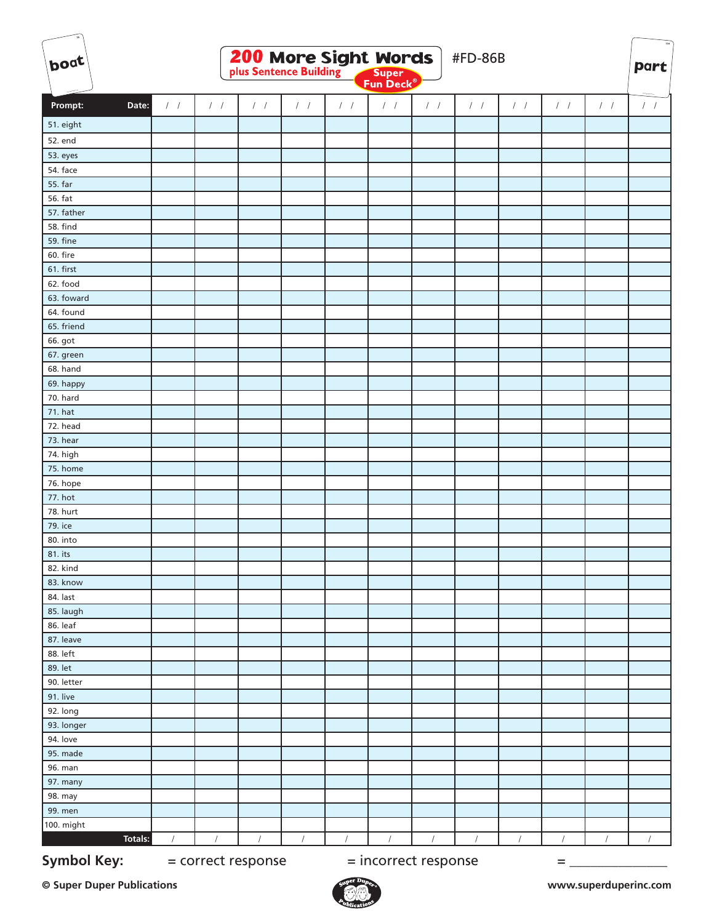| boat                 |                  |                    | <b>200 More Sight Words</b> |               |            | Super<br>Fun Deck <sup>®</sup> |               | #FD-86B           |            |               |                   | $\mathbf{12}_4$<br><b>part</b> |
|----------------------|------------------|--------------------|-----------------------------|---------------|------------|--------------------------------|---------------|-------------------|------------|---------------|-------------------|--------------------------------|
|                      |                  |                    |                             |               |            |                                |               |                   |            |               |                   |                                |
| Prompt:<br>Date:     | $\left  \right $ | $\frac{1}{2}$      | $/$ /                       | $\frac{1}{2}$ | $/$ /      | $\prime$ $\prime$              | $\frac{1}{2}$ | $\prime$ $\prime$ | $/$ $/$    | $\frac{1}{2}$ | $\cal I$ $\cal I$ | $1 - 1$                        |
| 51. eight            |                  |                    |                             |               |            |                                |               |                   |            |               |                   |                                |
| 52. end              |                  |                    |                             |               |            |                                |               |                   |            |               |                   |                                |
| 53. eyes             |                  |                    |                             |               |            |                                |               |                   |            |               |                   |                                |
| 54. face             |                  |                    |                             |               |            |                                |               |                   |            |               |                   |                                |
| 55. far              |                  |                    |                             |               |            |                                |               |                   |            |               |                   |                                |
| 56. fat              |                  |                    |                             |               |            |                                |               |                   |            |               |                   |                                |
| 57. father           |                  |                    |                             |               |            |                                |               |                   |            |               |                   |                                |
| <b>58. find</b>      |                  |                    |                             |               |            |                                |               |                   |            |               |                   |                                |
| 59. fine             |                  |                    |                             |               |            |                                |               |                   |            |               |                   |                                |
| 60. fire             |                  |                    |                             |               |            |                                |               |                   |            |               |                   |                                |
| 61. first            |                  |                    |                             |               |            |                                |               |                   |            |               |                   |                                |
| 62. food             |                  |                    |                             |               |            |                                |               |                   |            |               |                   |                                |
| 63. foward           |                  |                    |                             |               |            |                                |               |                   |            |               |                   |                                |
| 64. found            |                  |                    |                             |               |            |                                |               |                   |            |               |                   |                                |
| 65. friend           |                  |                    |                             |               |            |                                |               |                   |            |               |                   |                                |
| 66. got              |                  |                    |                             |               |            |                                |               |                   |            |               |                   |                                |
| 67. green            |                  |                    |                             |               |            |                                |               |                   |            |               |                   |                                |
| 68. hand             |                  |                    |                             |               |            |                                |               |                   |            |               |                   |                                |
| 69. happy            |                  |                    |                             |               |            |                                |               |                   |            |               |                   |                                |
| 70. hard             |                  |                    |                             |               |            |                                |               |                   |            |               |                   |                                |
| 71. hat              |                  |                    |                             |               |            |                                |               |                   |            |               |                   |                                |
| 72. head             |                  |                    |                             |               |            |                                |               |                   |            |               |                   |                                |
| 73. hear             |                  |                    |                             |               |            |                                |               |                   |            |               |                   |                                |
| 74. high             |                  |                    |                             |               |            |                                |               |                   |            |               |                   |                                |
| 75. home<br>76. hope |                  |                    |                             |               |            |                                |               |                   |            |               |                   |                                |
| 77. hot              |                  |                    |                             |               |            |                                |               |                   |            |               |                   |                                |
| 78. hurt             |                  |                    |                             |               |            |                                |               |                   |            |               |                   |                                |
| 79. ice              |                  |                    |                             |               |            |                                |               |                   |            |               |                   |                                |
| 80. into             |                  |                    |                             |               |            |                                |               |                   |            |               |                   |                                |
| 81. its              |                  |                    |                             |               |            |                                |               |                   |            |               |                   |                                |
| 82. kind             |                  |                    |                             |               |            |                                |               |                   |            |               |                   |                                |
| 83. know             |                  |                    |                             |               |            |                                |               |                   |            |               |                   |                                |
| 84. last             |                  |                    |                             |               |            |                                |               |                   |            |               |                   |                                |
| 85. laugh            |                  |                    |                             |               |            |                                |               |                   |            |               |                   |                                |
| 86. leaf             |                  |                    |                             |               |            |                                |               |                   |            |               |                   |                                |
| 87. leave            |                  |                    |                             |               |            |                                |               |                   |            |               |                   |                                |
| 88. left             |                  |                    |                             |               |            |                                |               |                   |            |               |                   |                                |
| 89. let              |                  |                    |                             |               |            |                                |               |                   |            |               |                   |                                |
| 90. letter           |                  |                    |                             |               |            |                                |               |                   |            |               |                   |                                |
| 91. live             |                  |                    |                             |               |            |                                |               |                   |            |               |                   |                                |
| 92. long             |                  |                    |                             |               |            |                                |               |                   |            |               |                   |                                |
| 93. longer           |                  |                    |                             |               |            |                                |               |                   |            |               |                   |                                |
| 94. love             |                  |                    |                             |               |            |                                |               |                   |            |               |                   |                                |
| 95. made             |                  |                    |                             |               |            |                                |               |                   |            |               |                   |                                |
| 96. man              |                  |                    |                             |               |            |                                |               |                   |            |               |                   |                                |
| 97. many             |                  |                    |                             |               |            |                                |               |                   |            |               |                   |                                |
| 98. may              |                  |                    |                             |               |            |                                |               |                   |            |               |                   |                                |
| 99. men              |                  |                    |                             |               |            |                                |               |                   |            |               |                   |                                |
| 100. might           |                  | $\prime$           |                             | $\sqrt{ }$    |            |                                |               | $\sqrt{ }$        |            | $\sqrt{ }$    | $\sqrt{ }$        | $\sqrt{ }$                     |
| <b>Totals:</b>       | $\sqrt{2}$       |                    | $\sqrt{ }$                  |               | $\sqrt{2}$ | $\sqrt{ }$                     | $\sqrt{2}$    |                   | $\sqrt{ }$ |               |                   |                                |
| <b>Symbol Key:</b>   |                  | = correct response |                             |               |            | = incorrect response           |               |                   |            | Ξ             |                   |                                |

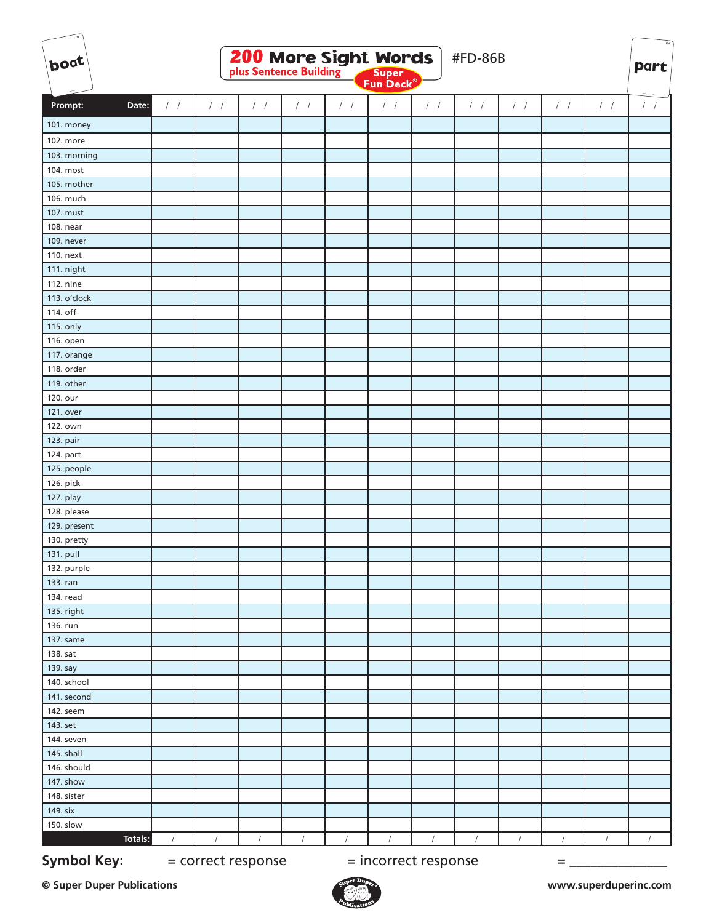| boat                   |                  |               | <b>200 More Sight Words</b> |               |               | <b>Super</b><br>Fun Deck® |                        | <b>#FD-86B</b> |               |               |               | $\mathbf{12}_4$<br>part |
|------------------------|------------------|---------------|-----------------------------|---------------|---------------|---------------------------|------------------------|----------------|---------------|---------------|---------------|-------------------------|
| Prompt:<br>Date:       | $\left  \right $ | $\frac{1}{2}$ | 1 <sup>1</sup>              | $\frac{1}{2}$ | $\frac{1}{2}$ | $\cal I$ $\cal I$         | $\left  \quad \right $ | $/$ /          | $\frac{1}{2}$ | $\frac{1}{2}$ | $\frac{1}{2}$ | $/$ $/$                 |
|                        |                  |               |                             |               |               |                           |                        |                |               |               |               |                         |
| 101. money             |                  |               |                             |               |               |                           |                        |                |               |               |               |                         |
| 102. more              |                  |               |                             |               |               |                           |                        |                |               |               |               |                         |
| 103. morning           |                  |               |                             |               |               |                           |                        |                |               |               |               |                         |
| 104. most              |                  |               |                             |               |               |                           |                        |                |               |               |               |                         |
| 105. mother            |                  |               |                             |               |               |                           |                        |                |               |               |               |                         |
| 106. much<br>107. must |                  |               |                             |               |               |                           |                        |                |               |               |               |                         |
| 108. near              |                  |               |                             |               |               |                           |                        |                |               |               |               |                         |
|                        |                  |               |                             |               |               |                           |                        |                |               |               |               |                         |
| 109. never             |                  |               |                             |               |               |                           |                        |                |               |               |               |                         |
| 110. next              |                  |               |                             |               |               |                           |                        |                |               |               |               |                         |
| 111. night             |                  |               |                             |               |               |                           |                        |                |               |               |               |                         |
| 112. nine              |                  |               |                             |               |               |                           |                        |                |               |               |               |                         |
| 113. o'clock           |                  |               |                             |               |               |                           |                        |                |               |               |               |                         |
| 114. off               |                  |               |                             |               |               |                           |                        |                |               |               |               |                         |
| 115. only              |                  |               |                             |               |               |                           |                        |                |               |               |               |                         |
| 116. open              |                  |               |                             |               |               |                           |                        |                |               |               |               |                         |
| 117. orange            |                  |               |                             |               |               |                           |                        |                |               |               |               |                         |
| 118. order             |                  |               |                             |               |               |                           |                        |                |               |               |               |                         |
| 119. other             |                  |               |                             |               |               |                           |                        |                |               |               |               |                         |
| 120. our               |                  |               |                             |               |               |                           |                        |                |               |               |               |                         |
| 121. over              |                  |               |                             |               |               |                           |                        |                |               |               |               |                         |
| 122. own               |                  |               |                             |               |               |                           |                        |                |               |               |               |                         |
| 123. pair              |                  |               |                             |               |               |                           |                        |                |               |               |               |                         |
| 124. part              |                  |               |                             |               |               |                           |                        |                |               |               |               |                         |
| 125. people            |                  |               |                             |               |               |                           |                        |                |               |               |               |                         |
| 126. pick              |                  |               |                             |               |               |                           |                        |                |               |               |               |                         |
| 127. play              |                  |               |                             |               |               |                           |                        |                |               |               |               |                         |
| 128. please            |                  |               |                             |               |               |                           |                        |                |               |               |               |                         |
| 129. present           |                  |               |                             |               |               |                           |                        |                |               |               |               |                         |
| 130. pretty            |                  |               |                             |               |               |                           |                        |                |               |               |               |                         |
| 131. pull              |                  |               |                             |               |               |                           |                        |                |               |               |               |                         |
| 132. purple            |                  |               |                             |               |               |                           |                        |                |               |               |               |                         |
| 133. ran               |                  |               |                             |               |               |                           |                        |                |               |               |               |                         |
| 134. read              |                  |               |                             |               |               |                           |                        |                |               |               |               |                         |
| 135. right             |                  |               |                             |               |               |                           |                        |                |               |               |               |                         |
| 136. run               |                  |               |                             |               |               |                           |                        |                |               |               |               |                         |
| 137. same              |                  |               |                             |               |               |                           |                        |                |               |               |               |                         |
| 138. sat               |                  |               |                             |               |               |                           |                        |                |               |               |               |                         |
| 139. say               |                  |               |                             |               |               |                           |                        |                |               |               |               |                         |
| 140. school            |                  |               |                             |               |               |                           |                        |                |               |               |               |                         |
| 141. second            |                  |               |                             |               |               |                           |                        |                |               |               |               |                         |
| 142. seem              |                  |               |                             |               |               |                           |                        |                |               |               |               |                         |
| 143. set               |                  |               |                             |               |               |                           |                        |                |               |               |               |                         |
| 144. seven             |                  |               |                             |               |               |                           |                        |                |               |               |               |                         |
| 145. shall             |                  |               |                             |               |               |                           |                        |                |               |               |               |                         |
| 146. should            |                  |               |                             |               |               |                           |                        |                |               |               |               |                         |
| 147. show              |                  |               |                             |               |               |                           |                        |                |               |               |               |                         |
| 148. sister            |                  |               |                             |               |               |                           |                        |                |               |               |               |                         |
| 149. six               |                  |               |                             |               |               |                           |                        |                |               |               |               |                         |
| 150. slow              |                  |               |                             |               |               |                           |                        |                |               |               |               |                         |
| Totals:                |                  |               |                             | $\prime$      |               |                           |                        |                |               |               |               |                         |
| <b>Symbol Key:</b>     |                  |               | = correct response          |               |               | = incorrect response      |                        |                |               | =             |               |                         |

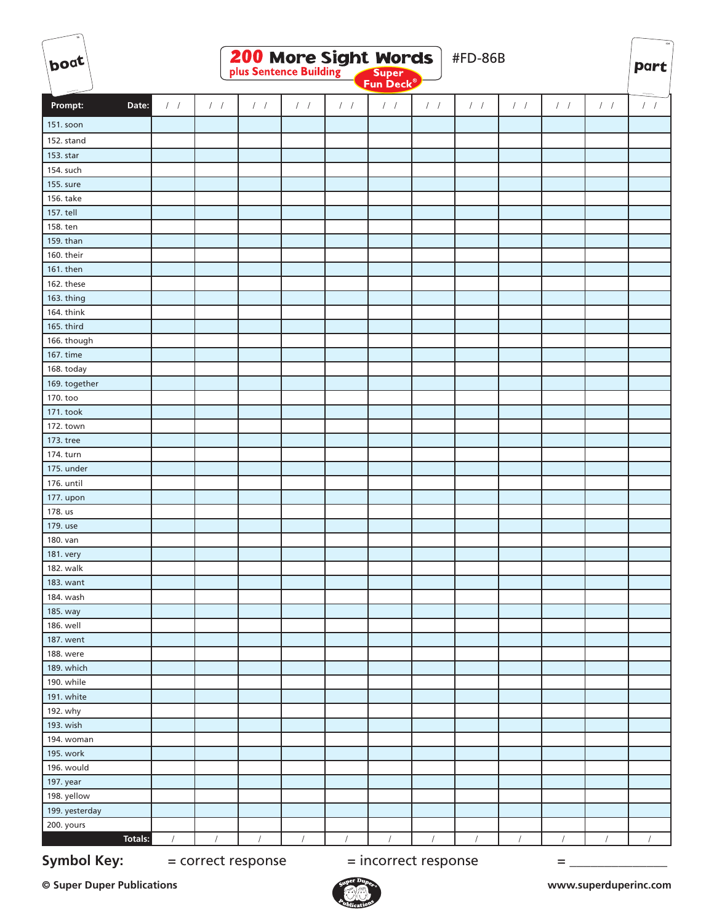| boat               | <b>200 More Sight Words</b><br>#FD-86B<br>Super<br>Fun Deck <sup>®</sup> |               |                    |               |                        |                      |               |            |               | <b>part</b>   |               |          |
|--------------------|--------------------------------------------------------------------------|---------------|--------------------|---------------|------------------------|----------------------|---------------|------------|---------------|---------------|---------------|----------|
|                    |                                                                          |               |                    |               |                        |                      |               |            |               |               |               |          |
| Prompt:<br>Date:   | $\left  \right $                                                         | $\frac{1}{2}$ | $/$ /              | $\frac{1}{2}$ | $\left  \quad \right $ | $/$ /                | $\frac{1}{2}$ | $/$ $/$    | $\frac{1}{2}$ | $\frac{1}{2}$ | $\frac{1}{2}$ | $1 - 1$  |
| 151. soon          |                                                                          |               |                    |               |                        |                      |               |            |               |               |               |          |
| 152. stand         |                                                                          |               |                    |               |                        |                      |               |            |               |               |               |          |
| 153. star          |                                                                          |               |                    |               |                        |                      |               |            |               |               |               |          |
| 154. such          |                                                                          |               |                    |               |                        |                      |               |            |               |               |               |          |
| 155. sure          |                                                                          |               |                    |               |                        |                      |               |            |               |               |               |          |
| 156. take          |                                                                          |               |                    |               |                        |                      |               |            |               |               |               |          |
| 157. tell          |                                                                          |               |                    |               |                        |                      |               |            |               |               |               |          |
| 158. ten           |                                                                          |               |                    |               |                        |                      |               |            |               |               |               |          |
| 159. than          |                                                                          |               |                    |               |                        |                      |               |            |               |               |               |          |
| 160. their         |                                                                          |               |                    |               |                        |                      |               |            |               |               |               |          |
| 161. then          |                                                                          |               |                    |               |                        |                      |               |            |               |               |               |          |
| 162. these         |                                                                          |               |                    |               |                        |                      |               |            |               |               |               |          |
| 163. thing         |                                                                          |               |                    |               |                        |                      |               |            |               |               |               |          |
| 164. think         |                                                                          |               |                    |               |                        |                      |               |            |               |               |               |          |
| 165. third         |                                                                          |               |                    |               |                        |                      |               |            |               |               |               |          |
| 166. though        |                                                                          |               |                    |               |                        |                      |               |            |               |               |               |          |
| 167. time          |                                                                          |               |                    |               |                        |                      |               |            |               |               |               |          |
| 168. today         |                                                                          |               |                    |               |                        |                      |               |            |               |               |               |          |
| 169. together      |                                                                          |               |                    |               |                        |                      |               |            |               |               |               |          |
| 170. too           |                                                                          |               |                    |               |                        |                      |               |            |               |               |               |          |
| 171. took          |                                                                          |               |                    |               |                        |                      |               |            |               |               |               |          |
| 172. town          |                                                                          |               |                    |               |                        |                      |               |            |               |               |               |          |
| 173. tree          |                                                                          |               |                    |               |                        |                      |               |            |               |               |               |          |
| 174. turn          |                                                                          |               |                    |               |                        |                      |               |            |               |               |               |          |
| 175. under         |                                                                          |               |                    |               |                        |                      |               |            |               |               |               |          |
| 176. until         |                                                                          |               |                    |               |                        |                      |               |            |               |               |               |          |
| 177. upon          |                                                                          |               |                    |               |                        |                      |               |            |               |               |               |          |
| 178. us            |                                                                          |               |                    |               |                        |                      |               |            |               |               |               |          |
| 179. use           |                                                                          |               |                    |               |                        |                      |               |            |               |               |               |          |
| 180. van           |                                                                          |               |                    |               |                        |                      |               |            |               |               |               |          |
| 181. very          |                                                                          |               |                    |               |                        |                      |               |            |               |               |               |          |
| 182. walk          |                                                                          |               |                    |               |                        |                      |               |            |               |               |               |          |
| 183. want          |                                                                          |               |                    |               |                        |                      |               |            |               |               |               |          |
| 184. wash          |                                                                          |               |                    |               |                        |                      |               |            |               |               |               |          |
| 185. way           |                                                                          |               |                    |               |                        |                      |               |            |               |               |               |          |
| 186. well          |                                                                          |               |                    |               |                        |                      |               |            |               |               |               |          |
| 187. went          |                                                                          |               |                    |               |                        |                      |               |            |               |               |               |          |
| 188. were          |                                                                          |               |                    |               |                        |                      |               |            |               |               |               |          |
| 189. which         |                                                                          |               |                    |               |                        |                      |               |            |               |               |               |          |
| 190. while         |                                                                          |               |                    |               |                        |                      |               |            |               |               |               |          |
| 191. white         |                                                                          |               |                    |               |                        |                      |               |            |               |               |               |          |
| 192. why           |                                                                          |               |                    |               |                        |                      |               |            |               |               |               |          |
| 193. wish          |                                                                          |               |                    |               |                        |                      |               |            |               |               |               |          |
| 194. woman         |                                                                          |               |                    |               |                        |                      |               |            |               |               |               |          |
| 195. work          |                                                                          |               |                    |               |                        |                      |               |            |               |               |               |          |
| 196. would         |                                                                          |               |                    |               |                        |                      |               |            |               |               |               |          |
| 197. year          |                                                                          |               |                    |               |                        |                      |               |            |               |               |               |          |
| 198. yellow        |                                                                          |               |                    |               |                        |                      |               |            |               |               |               |          |
| 199. yesterday     |                                                                          |               |                    |               |                        |                      |               |            |               |               |               |          |
| 200. yours         |                                                                          |               |                    |               |                        |                      |               |            |               |               |               |          |
| <b>Totals:</b>     | $\sqrt{ }$                                                               | $\sqrt{ }$    | $\sqrt{ }$         | $\sqrt{ }$    | $\sqrt{2}$             | $\sqrt{ }$           | $\sqrt{2}$    | $\sqrt{ }$ | $\sqrt{2}$    | $\prime$      | $\prime$      | $\prime$ |
| <b>Symbol Key:</b> |                                                                          |               | = correct response |               |                        | = incorrect response |               |            |               | $=$           |               |          |